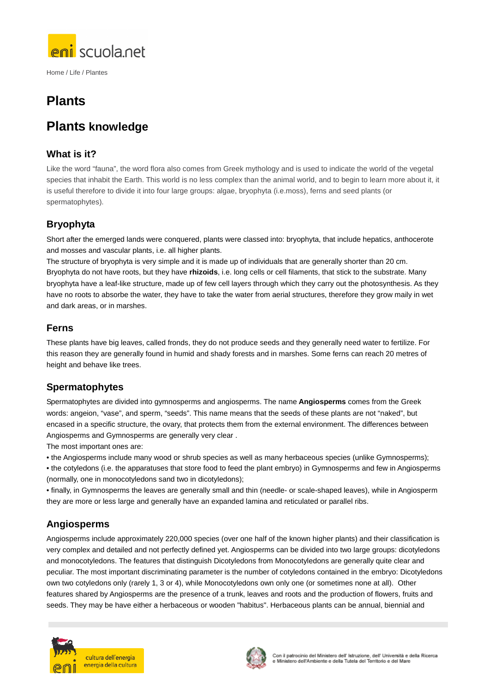

# **Plants**

# **Plants knowledge**

# **What is it?**

Like the word "fauna", the word flora also comes from Greek mythology and is used to indicate the world of the vegetal species that inhabit the Earth. This world is no less complex than the animal world, and to begin to learn more about it, it is useful therefore to divide it into four large groups: algae, bryophyta (i.e.moss), ferns and seed plants (or spermatophytes).

# **Bryophyta**

Short after the emerged lands were conquered, plants were classed into: bryophyta, that include hepatics, anthocerote and mosses and vascular plants, i.e. all higher plants.

The structure of bryophyta is very simple and it is made up of individuals that are generally shorter than 20 cm. Bryophyta do not have roots, but they have **rhizoids**, i.e. long cells or cell filaments, that stick to the substrate. Many bryophyta have a leaf-like structure, made up of few cell layers through which they carry out the photosynthesis. As they have no roots to absorbe the water, they have to take the water from aerial structures, therefore they grow maily in wet and dark areas, or in marshes.

### **Ferns**

These plants have big leaves, called fronds, they do not produce seeds and they generally need water to fertilize. For this reason they are generally found in humid and shady forests and in marshes. Some ferns can reach 20 metres of height and behave like trees.

# **Spermatophytes**

Spermatophytes are divided into gymnosperms and angiosperms. The name **Angiosperms** comes from the Greek words: angeion, "vase", and sperm, "seeds". This name means that the seeds of these plants are not "naked", but encased in a specific structure, the ovary, that protects them from the external environment. The differences between Angiosperms and Gymnosperms are generally very clear .

The most important ones are:

• the Angiosperms include many wood or shrub species as well as many herbaceous species (unlike Gymnosperms);

• the cotyledons (i.e. the apparatuses that store food to feed the plant embryo) in Gymnosperms and few in Angiosperms (normally, one in monocotyledons sand two in dicotyledons);

• finally, in Gymnosperms the leaves are generally small and thin (needle- or scale-shaped leaves), while in Angiosperm they are more or less large and generally have an expanded lamina and reticulated or parallel ribs.

# **Angiosperms**

Angiosperms include approximately 220,000 species (over one half of the known higher plants) and their classification is very complex and detailed and not perfectly defined yet. Angiosperms can be divided into two large groups: dicotyledons and monocotyledons. The features that distinguish Dicotyledons from Monocotyledons are generally quite clear and peculiar. The most important discriminating parameter is the number of cotyledons contained in the embryo: Dicotyledons own two cotyledons only (rarely 1, 3 or 4), while Monocotyledons own only one (or sometimes none at all). Other features shared by Angiosperms are the presence of a trunk, leaves and roots and the production of flowers, fruits and seeds. They may be have either a herbaceous or wooden "habitus". Herbaceous plants can be annual, biennial and



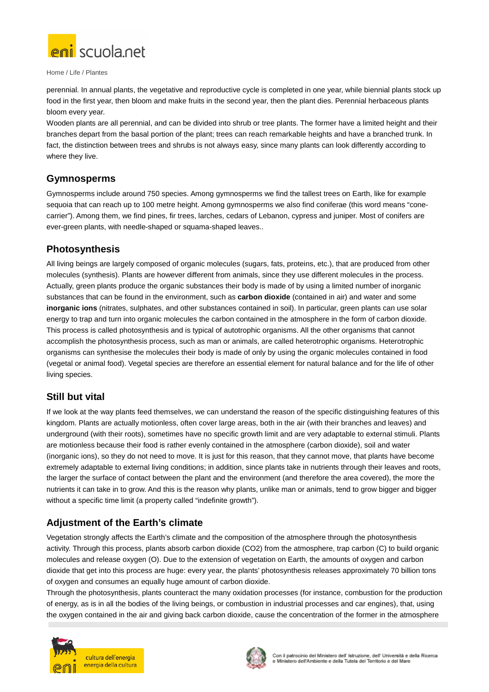

perennial. In annual plants, the vegetative and reproductive cycle is completed in one year, while biennial plants stock up food in the first year, then bloom and make fruits in the second year, then the plant dies. Perennial herbaceous plants bloom every year.

Wooden plants are all perennial, and can be divided into shrub or tree plants. The former have a limited height and their branches depart from the basal portion of the plant; trees can reach remarkable heights and have a branched trunk. In fact, the distinction between trees and shrubs is not always easy, since many plants can look differently according to where they live.

### **Gymnosperms**

Gymnosperms include around 750 species. Among gymnosperms we find the tallest trees on Earth, like for example sequoia that can reach up to 100 metre height. Among gymnosperms we also find coniferae (this word means "conecarrier"). Among them, we find pines, fir trees, larches, cedars of Lebanon, cypress and juniper. Most of conifers are ever-green plants, with needle-shaped or squama-shaped leaves..

### **Photosynthesis**

All living beings are largely composed of organic molecules (sugars, fats, proteins, etc.), that are produced from other molecules (synthesis). Plants are however different from animals, since they use different molecules in the process. Actually, green plants produce the organic substances their body is made of by using a limited number of inorganic substances that can be found in the environment, such as **carbon dioxide** (contained in air) and water and some **inorganic ions** (nitrates, sulphates, and other substances contained in soil). In particular, green plants can use solar energy to trap and turn into organic molecules the carbon contained in the atmosphere in the form of carbon dioxide. This process is called photosynthesis and is typical of autotrophic organisms. All the other organisms that cannot accomplish the photosynthesis process, such as man or animals, are called heterotrophic organisms. Heterotrophic organisms can synthesise the molecules their body is made of only by using the organic molecules contained in food (vegetal or animal food). Vegetal species are therefore an essential element for natural balance and for the life of other living species.

### **Still but vital**

If we look at the way plants feed themselves, we can understand the reason of the specific distinguishing features of this kingdom. Plants are actually motionless, often cover large areas, both in the air (with their branches and leaves) and underground (with their roots), sometimes have no specific growth limit and are very adaptable to external stimuli. Plants are motionless because their food is rather evenly contained in the atmosphere (carbon dioxide), soil and water (inorganic ions), so they do not need to move. It is just for this reason, that they cannot move, that plants have become extremely adaptable to external living conditions; in addition, since plants take in nutrients through their leaves and roots, the larger the surface of contact between the plant and the environment (and therefore the area covered), the more the nutrients it can take in to grow. And this is the reason why plants, unlike man or animals, tend to grow bigger and bigger without a specific time limit (a property called "indefinite growth").

### **Adjustment of the Earth's climate**

Vegetation strongly affects the Earth's climate and the composition of the atmosphere through the photosynthesis activity. Through this process, plants absorb carbon dioxide (CO2) from the atmosphere, trap carbon (C) to build organic molecules and release oxygen (O). Due to the extension of vegetation on Earth, the amounts of oxygen and carbon dioxide that get into this process are huge: every year, the plants' photosynthesis releases approximately 70 billion tons of oxygen and consumes an equally huge amount of carbon dioxide.

Through the photosynthesis, plants counteract the many oxidation processes (for instance, combustion for the production of energy, as is in all the bodies of the living beings, or combustion in industrial processes and car engines), that, using the oxygen contained in the air and giving back carbon dioxide, cause the concentration of the former in the atmosphere



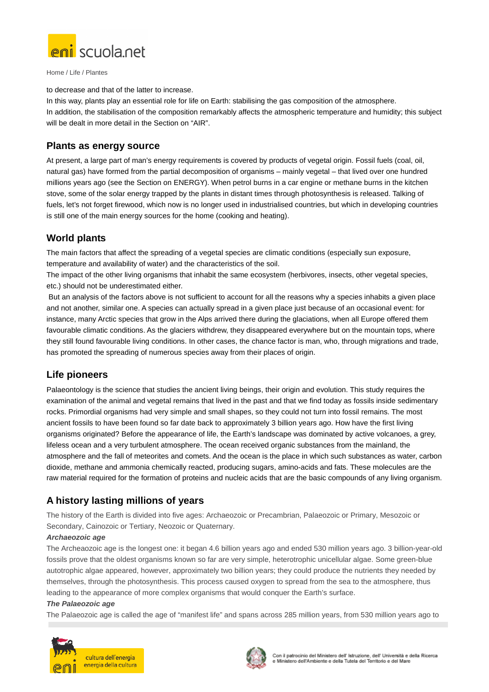

to decrease and that of the latter to increase.

In this way, plants play an essential role for life on Earth: stabilising the gas composition of the atmosphere. In addition, the stabilisation of the composition remarkably affects the atmospheric temperature and humidity; this subject will be dealt in more detail in the Section on "AIR".

### **Plants as energy source**

At present, a large part of man's energy requirements is covered by products of vegetal origin. Fossil fuels (coal, oil, natural gas) have formed from the partial decomposition of organisms – mainly vegetal – that lived over one hundred millions years ago (see the Section on ENERGY). When petrol burns in a car engine or methane burns in the kitchen stove, some of the solar energy trapped by the plants in distant times through photosynthesis is released. Talking of fuels, let's not forget firewood, which now is no longer used in industrialised countries, but which in developing countries is still one of the main energy sources for the home (cooking and heating).

# **World plants**

The main factors that affect the spreading of a vegetal species are climatic conditions (especially sun exposure, temperature and availability of water) and the characteristics of the soil.

The impact of the other living organisms that inhabit the same ecosystem (herbivores, insects, other vegetal species, etc.) should not be underestimated either.

 But an analysis of the factors above is not sufficient to account for all the reasons why a species inhabits a given place and not another, similar one. A species can actually spread in a given place just because of an occasional event: for instance, many Arctic species that grow in the Alps arrived there during the glaciations, when all Europe offered them favourable climatic conditions. As the glaciers withdrew, they disappeared everywhere but on the mountain tops, where they still found favourable living conditions. In other cases, the chance factor is man, who, through migrations and trade, has promoted the spreading of numerous species away from their places of origin.

# **Life pioneers**

Palaeontology is the science that studies the ancient living beings, their origin and evolution. This study requires the examination of the animal and vegetal remains that lived in the past and that we find today as fossils inside sedimentary rocks. Primordial organisms had very simple and small shapes, so they could not turn into fossil remains. The most ancient fossils to have been found so far date back to approximately 3 billion years ago. How have the first living organisms originated? Before the appearance of life, the Earth's landscape was dominated by active volcanoes, a grey, lifeless ocean and a very turbulent atmosphere. The ocean received organic substances from the mainland, the atmosphere and the fall of meteorites and comets. And the ocean is the place in which such substances as water, carbon dioxide, methane and ammonia chemically reacted, producing sugars, amino-acids and fats. These molecules are the raw material required for the formation of proteins and nucleic acids that are the basic compounds of any living organism.

# **A history lasting millions of years**

The history of the Earth is divided into five ages: Archaeozoic or Precambrian, Palaeozoic or Primary, Mesozoic or Secondary, Cainozoic or Tertiary, Neozoic or Quaternary.

#### **Archaeozoic age**

The Archeaozoic age is the longest one: it began 4.6 billion years ago and ended 530 million years ago. 3 billion-year-old fossils prove that the oldest organisms known so far are very simple, heterotrophic unicellular algae. Some green-blue autotrophic algae appeared, however, approximately two billion years; they could produce the nutrients they needed by themselves, through the photosynthesis. This process caused oxygen to spread from the sea to the atmosphere, thus leading to the appearance of more complex organisms that would conquer the Earth's surface.

#### **The Palaeozoic age**

The Palaeozoic age is called the age of "manifest life" and spans across 285 million years, from 530 million years ago to